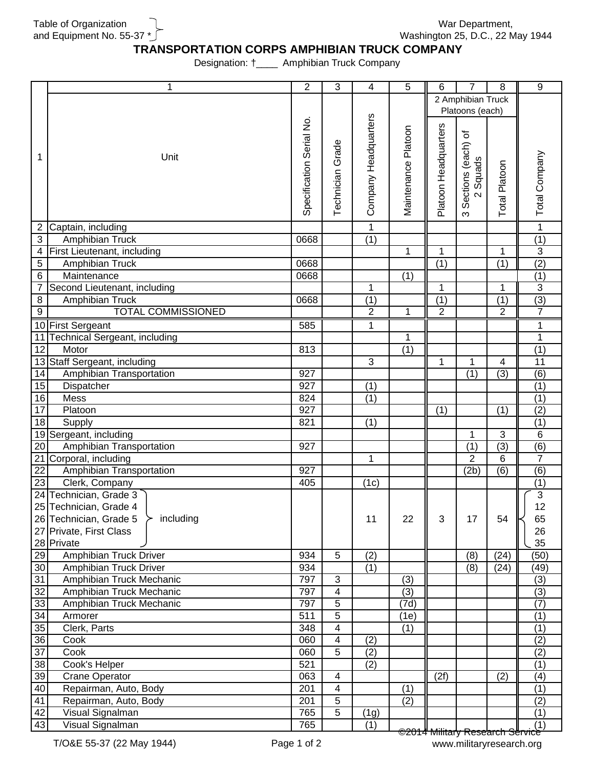Table of Organization and Equipment No. 55-37 \*

War Department, Washington 25, D.C., 22 May 1944

## **TRANSPORTATION CORPS AMPHIBIAN TRUCK COMPANY**

Designation: †\_\_\_\_ Amphibian Truck Company

|                       | 1                                   | $\overline{2}$           | 3                       | $\overline{4}$          | 5                   | 6                    | 7               | 8                | 9                |
|-----------------------|-------------------------------------|--------------------------|-------------------------|-------------------------|---------------------|----------------------|-----------------|------------------|------------------|
|                       |                                     |                          |                         |                         |                     | 2 Amphibian Truck    |                 |                  |                  |
|                       |                                     |                          |                         |                         |                     |                      | Platoons (each) |                  |                  |
|                       |                                     | Specification Serial No. |                         | Company Headquarters    |                     |                      |                 |                  |                  |
|                       |                                     |                          |                         |                         | Maintenance Platoon | Platoon Headquarters | ৳               |                  |                  |
|                       |                                     |                          | Grade                   |                         |                     |                      | Sections (each) |                  |                  |
| 1                     | Unit                                |                          |                         |                         |                     |                      |                 |                  | Total Company    |
|                       |                                     |                          |                         |                         |                     |                      | Squads          | Total Platoon    |                  |
|                       |                                     |                          | Technician              |                         |                     |                      |                 |                  |                  |
|                       |                                     |                          |                         |                         |                     |                      | $\sim$          |                  |                  |
|                       |                                     |                          |                         |                         |                     |                      |                 |                  |                  |
|                       |                                     |                          |                         |                         |                     |                      | ო               |                  |                  |
| $\overline{2}$        | Captain, including                  |                          |                         | $\mathbf{1}$            |                     |                      |                 |                  | $\overline{1}$   |
| $\mathfrak{S}$        | Amphibian Truck                     | 0668                     |                         | (1)                     |                     |                      |                 |                  | (1)              |
| $\overline{4}$        | First Lieutenant, including         |                          |                         |                         | 1                   | 1                    |                 | $\mathbf{1}$     | $\overline{3}$   |
| $\mathbf 5$           | Amphibian Truck                     | 0668                     |                         |                         |                     | $\overline{(1)}$     |                 | $\overline{(1)}$ | (2)              |
| $\overline{6}$        | Maintenance                         | 0668                     |                         |                         | (1)                 |                      |                 |                  | $\overline{(1)}$ |
| 7                     | Second Lieutenant, including        |                          |                         | 1                       |                     | 1                    |                 | 1                | $\overline{3}$   |
| $\overline{8}$        | Amphibian Truck                     | 0668                     |                         | $\overline{(1)}$        |                     | $\overline{(1)}$     |                 | $\overline{(1)}$ | (3)              |
| $\overline{9}$        | <b>TOTAL COMMISSIONED</b>           |                          |                         | $\overline{2}$          | 1                   | $\overline{2}$       |                 | $\overline{2}$   | $\overline{7}$   |
|                       | 10 First Sergeant                   | 585                      |                         | 1                       |                     |                      |                 |                  | 1                |
| 11                    | Technical Sergeant, including       |                          |                         |                         | 1                   |                      |                 |                  | 1                |
| 12                    | Motor                               | 813                      |                         |                         | (1)                 |                      |                 |                  | (1)              |
| 13                    | Staff Sergeant, including           |                          |                         | $\mathbf{3}$            |                     | 1                    | 1               | 4                | $\overline{11}$  |
| 14                    | Amphibian Transportation            | 927                      |                         |                         |                     |                      | (1)             | (3)              | (6)              |
| 15                    | Dispatcher                          | 927                      |                         | (1)                     |                     |                      |                 |                  | (1)              |
| 16                    | Mess                                | 824                      |                         | (1)                     |                     |                      |                 |                  | $\overline{(1)}$ |
| 17                    | Platoon                             | 927                      |                         |                         |                     | (1)                  |                 | (1)              | (2)              |
| 18                    | Supply                              | 821                      |                         | (1)                     |                     |                      |                 |                  | (1)              |
|                       | 19 Sergeant, including              |                          |                         |                         |                     |                      | 1               | $\overline{3}$   | $\,6$            |
| $\overline{20}$       | Amphibian Transportation            | 927                      |                         |                         |                     |                      | (1)             | (3)              | (6)              |
|                       | 21 Corporal, including              |                          |                         | 1                       |                     |                      | $\overline{2}$  | 6                | $\overline{7}$   |
| $\overline{22}$       | Amphibian Transportation            | 927                      |                         |                         |                     |                      | (2b)            | (6)              | (6)              |
| 23                    | Clerk, Company                      | 405                      |                         | (1c)                    |                     |                      |                 |                  | (1)              |
|                       | 24 Technician, Grade 3              |                          |                         |                         |                     |                      |                 |                  | $\overline{3}$   |
|                       | 25 Technician, Grade 4              |                          |                         |                         |                     |                      |                 |                  | 12               |
|                       | 26 Technician, Grade 5<br>including |                          |                         | 11                      | 22                  | $\mathbf{3}$         | 17              | 54               | 65               |
|                       | 27 Private, First Class             |                          |                         |                         |                     |                      |                 |                  | 26               |
|                       | 28 Private                          |                          |                         |                         |                     |                      |                 |                  | 35               |
| 29                    | Amphibian Truck Driver              | 934                      | 5                       | (2)                     |                     |                      | (8)             | (24)             | (50)             |
| 30                    | Amphibian Truck Driver              | 934                      |                         | (1)                     |                     |                      | (8)             | (24)             | (49)             |
| 31                    | Amphibian Truck Mechanic            | 797                      | $\mathbf{3}$            |                         | (3)                 |                      |                 |                  | (3)              |
| 32                    | Amphibian Truck Mechanic            | 797                      | $\overline{\mathbf{4}}$ |                         | (3)                 |                      |                 |                  | $\overline{3}$   |
| 33                    | Amphibian Truck Mechanic            | 797                      | 5                       |                         | (7d)                |                      |                 |                  | (7)              |
| 34                    | Armorer                             | 511                      | $\overline{5}$          |                         | (1e)                |                      |                 |                  | (1)              |
| 35                    | Clerk, Parts                        | 348                      | 4                       |                         | (1)                 |                      |                 |                  | (1)              |
|                       |                                     | 060                      | $\overline{\mathbf{4}}$ |                         |                     |                      |                 |                  |                  |
| 36<br>$\overline{37}$ | Cook<br>Cook                        | 060                      | $\overline{5}$          | (2)<br>$\overline{(2)}$ |                     |                      |                 |                  | (2)              |
|                       |                                     | 521                      |                         |                         |                     |                      |                 |                  | (2)              |
| $\overline{38}$       | Cook's Helper                       |                          |                         | (2)                     |                     |                      |                 |                  | (1)              |
| 39                    | <b>Crane Operator</b>               | 063                      | 4                       |                         |                     | (2f)                 |                 | (2)              | (4)              |
| 40                    | Repairman, Auto, Body               | 201                      | 4                       |                         | (1)                 |                      |                 |                  | $\overline{(1)}$ |
| 41                    | Repairman, Auto, Body               | 201                      | 5                       |                         | (2)                 |                      |                 |                  | (2)              |
| 42                    | Visual Signalman                    | 765                      | 5                       | (1g)                    |                     |                      |                 |                  | (1)              |
| 43                    | Visual Signalman                    | 765                      |                         | (1)                     |                     |                      |                 |                  | (1)              |

©2014 Military Research Service www.militaryresearch.org